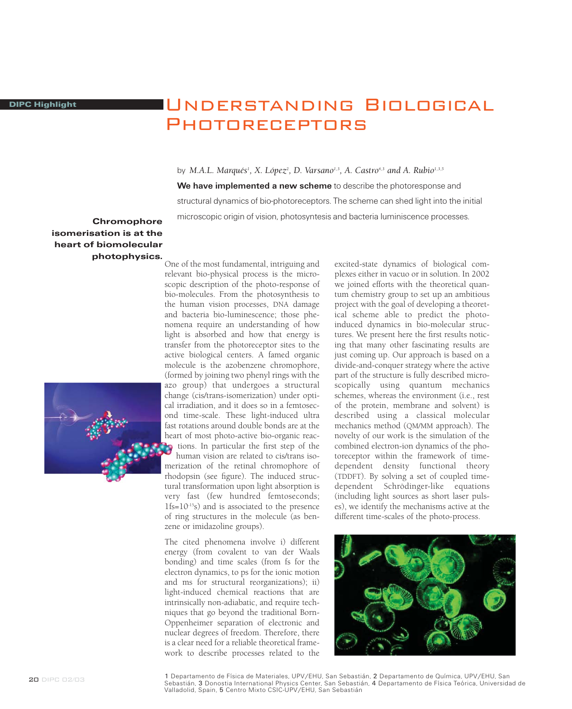## Understanding BiologicalPhotoreceptors

by M.A.L. Marqués<sup>1</sup>, X. López<sup>2</sup>, D. Varsano<sup>1,3</sup>, A. Castro<sup>4,3</sup> and A. Rubio<sup>1,3,5</sup> We have implemented a new scheme to describe the photoresponse and structural dynamics of bio-photoreceptors. The scheme can shed light into the initial microscopic origin of vision, photosyntesis and bacteria luminiscence processes.

## **Chromophore** isomerisation is at the heart of biomolecular photophysics.



One of the most fundamental, intriguing and relevant bio-physical process is the microscopic description of the photo-response of bio-molecules. From the photosynthesis to the human vision processes, DNA damage and bacteria bio-luminescence; those phenomena require an understanding of how light is absorbed and how that energy is transfer from the photoreceptor sites to the active biological centers. A famed organic molecule is the azobenzene chromophore, (formed by joining two phenyl rings with the azo group) that undergoes a structural change (cis/trans-isomerization) under optical irradiation, and it does so in a femtosecond time-scale. These light-induced ultra fast rotations around double bonds are at the heart of most photo-active bio-organic reactions. In particular the first step of the human vision are related to cis/trans isomerization of the retinal chromophore of rhodopsin (see figure). The induced structural transformation upon light absorption is very fast (few hundred femtoseconds; 1fs=10-15s) and is associated to the presence of ring structures in the molecule (as benzene or imidazoline groups).

The cited phenomena involve i) different energy (from covalent to van der Waals bonding) and time scales (from fs for the electron dynamics, to ps for the ionic motion and ms for structural reorganizations); ii) light-induced chemical reactions that are intrinsically non-adiabatic, and require techniques that go beyond the traditional Born-Oppenheimer separation of electronic and nuclear degrees of freedom. Therefore, there is a clear need for a reliable theoretical framework to describe processes related to the

excited-state dynamics of biological complexes either in vacuo or in solution. In 2002 we joined efforts with the theoretical quantum chemistry group to set up an ambitious project with the goal of developing a theoretical scheme able to predict the photoinduced dynamics in bio-molecular structures. We present here the first results noticing that many other fascinating results are just coming up. Our approach is based on a divide-and-conquer strategy where the active part of the structure is fully described microscopically using quantum mechanics schemes, whereas the environment (i.e., rest of the protein, membrane and solvent) is described using a classical molecular mechanics method (QM/MM approach). The novelty of our work is the simulation of the combined electron-ion dynamics of the photoreceptor within the framework of timedependent density functional theory (TDDFT). By solving a set of coupled timedependent Schrödinger-like equations (including light sources as short laser pulses), we identify the mechanisms active at the different time-scales of the photo-process.



1 Departamento de Física de Materiales, UPV/EHU, San Sebastián, 2 Departamento de Química, UPV/EHU, San Sebastián, 3 Donostia International Physics Center, San Sebastián, 4 Departamento de Física Teórica, Universidad de Valladolid, Spain, 5 Centro Mixto CSIC-UPV/EHU, San Sebastián